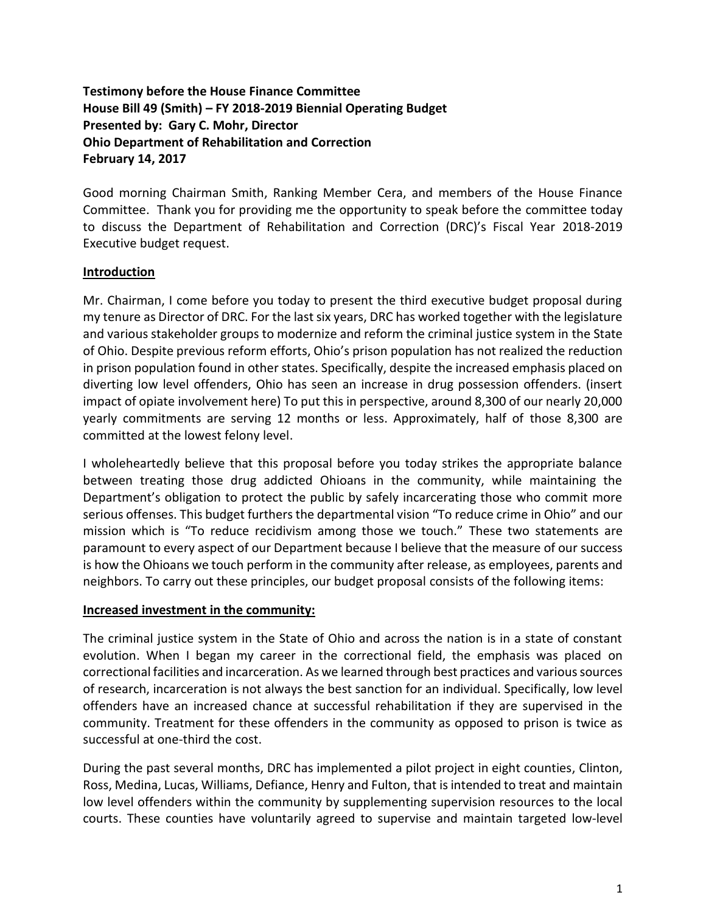# **Testimony before the House Finance Committee House Bill 49 (Smith) – FY 2018-2019 Biennial Operating Budget Presented by: Gary C. Mohr, Director Ohio Department of Rehabilitation and Correction February 14, 2017**

Good morning Chairman Smith, Ranking Member Cera, and members of the House Finance Committee. Thank you for providing me the opportunity to speak before the committee today to discuss the Department of Rehabilitation and Correction (DRC)'s Fiscal Year 2018-2019 Executive budget request.

## **Introduction**

Mr. Chairman, I come before you today to present the third executive budget proposal during my tenure as Director of DRC. For the last six years, DRC has worked together with the legislature and various stakeholder groups to modernize and reform the criminal justice system in the State of Ohio. Despite previous reform efforts, Ohio's prison population has not realized the reduction in prison population found in other states. Specifically, despite the increased emphasis placed on diverting low level offenders, Ohio has seen an increase in drug possession offenders. (insert impact of opiate involvement here) To put this in perspective, around 8,300 of our nearly 20,000 yearly commitments are serving 12 months or less. Approximately, half of those 8,300 are committed at the lowest felony level.

I wholeheartedly believe that this proposal before you today strikes the appropriate balance between treating those drug addicted Ohioans in the community, while maintaining the Department's obligation to protect the public by safely incarcerating those who commit more serious offenses. This budget furthers the departmental vision "To reduce crime in Ohio" and our mission which is "To reduce recidivism among those we touch." These two statements are paramount to every aspect of our Department because I believe that the measure of our success is how the Ohioans we touch perform in the community after release, as employees, parents and neighbors. To carry out these principles, our budget proposal consists of the following items:

## **Increased investment in the community:**

The criminal justice system in the State of Ohio and across the nation is in a state of constant evolution. When I began my career in the correctional field, the emphasis was placed on correctional facilities and incarceration. As we learned through best practices and various sources of research, incarceration is not always the best sanction for an individual. Specifically, low level offenders have an increased chance at successful rehabilitation if they are supervised in the community. Treatment for these offenders in the community as opposed to prison is twice as successful at one-third the cost.

During the past several months, DRC has implemented a pilot project in eight counties, Clinton, Ross, Medina, Lucas, Williams, Defiance, Henry and Fulton, that is intended to treat and maintain low level offenders within the community by supplementing supervision resources to the local courts. These counties have voluntarily agreed to supervise and maintain targeted low-level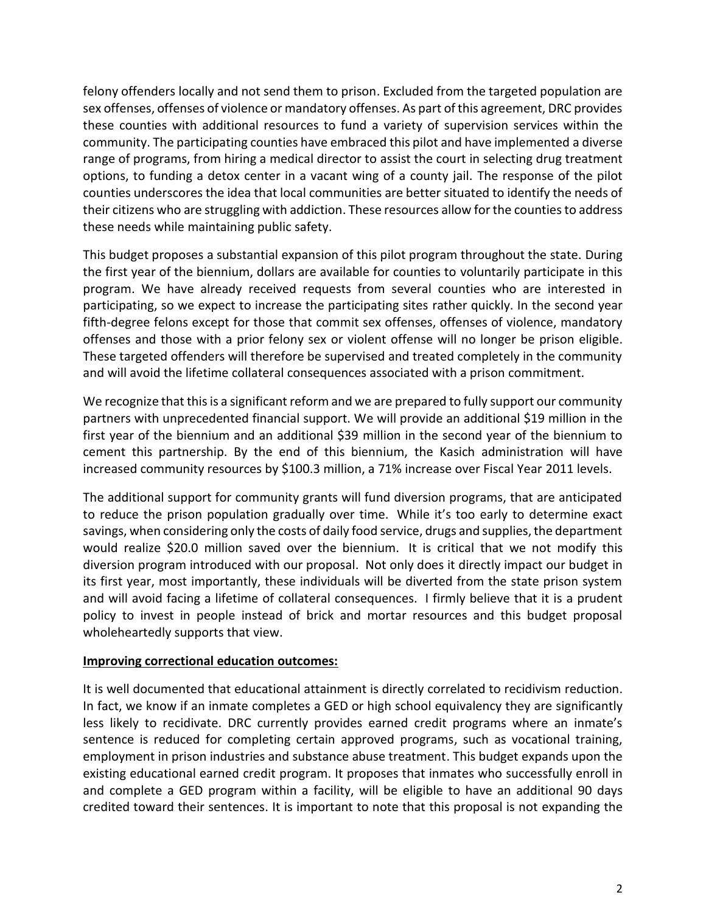felony offenders locally and not send them to prison. Excluded from the targeted population are sex offenses, offenses of violence or mandatory offenses. As part of this agreement, DRC provides these counties with additional resources to fund a variety of supervision services within the community. The participating counties have embraced this pilot and have implemented a diverse range of programs, from hiring a medical director to assist the court in selecting drug treatment options, to funding a detox center in a vacant wing of a county jail. The response of the pilot counties underscores the idea that local communities are better situated to identify the needs of their citizens who are struggling with addiction. These resources allow for the counties to address these needs while maintaining public safety.

This budget proposes a substantial expansion of this pilot program throughout the state. During the first year of the biennium, dollars are available for counties to voluntarily participate in this program. We have already received requests from several counties who are interested in participating, so we expect to increase the participating sites rather quickly. In the second year fifth-degree felons except for those that commit sex offenses, offenses of violence, mandatory offenses and those with a prior felony sex or violent offense will no longer be prison eligible. These targeted offenders will therefore be supervised and treated completely in the community and will avoid the lifetime collateral consequences associated with a prison commitment.

We recognize that this is a significant reform and we are prepared to fully support our community partners with unprecedented financial support. We will provide an additional \$19 million in the first year of the biennium and an additional \$39 million in the second year of the biennium to cement this partnership. By the end of this biennium, the Kasich administration will have increased community resources by \$100.3 million, a 71% increase over Fiscal Year 2011 levels.

The additional support for community grants will fund diversion programs, that are anticipated to reduce the prison population gradually over time. While it's too early to determine exact savings, when considering only the costs of daily food service, drugs and supplies, the department would realize \$20.0 million saved over the biennium. It is critical that we not modify this diversion program introduced with our proposal. Not only does it directly impact our budget in its first year, most importantly, these individuals will be diverted from the state prison system and will avoid facing a lifetime of collateral consequences. I firmly believe that it is a prudent policy to invest in people instead of brick and mortar resources and this budget proposal wholeheartedly supports that view.

#### **Improving correctional education outcomes:**

It is well documented that educational attainment is directly correlated to recidivism reduction. In fact, we know if an inmate completes a GED or high school equivalency they are significantly less likely to recidivate. DRC currently provides earned credit programs where an inmate's sentence is reduced for completing certain approved programs, such as vocational training, employment in prison industries and substance abuse treatment. This budget expands upon the existing educational earned credit program. It proposes that inmates who successfully enroll in and complete a GED program within a facility, will be eligible to have an additional 90 days credited toward their sentences. It is important to note that this proposal is not expanding the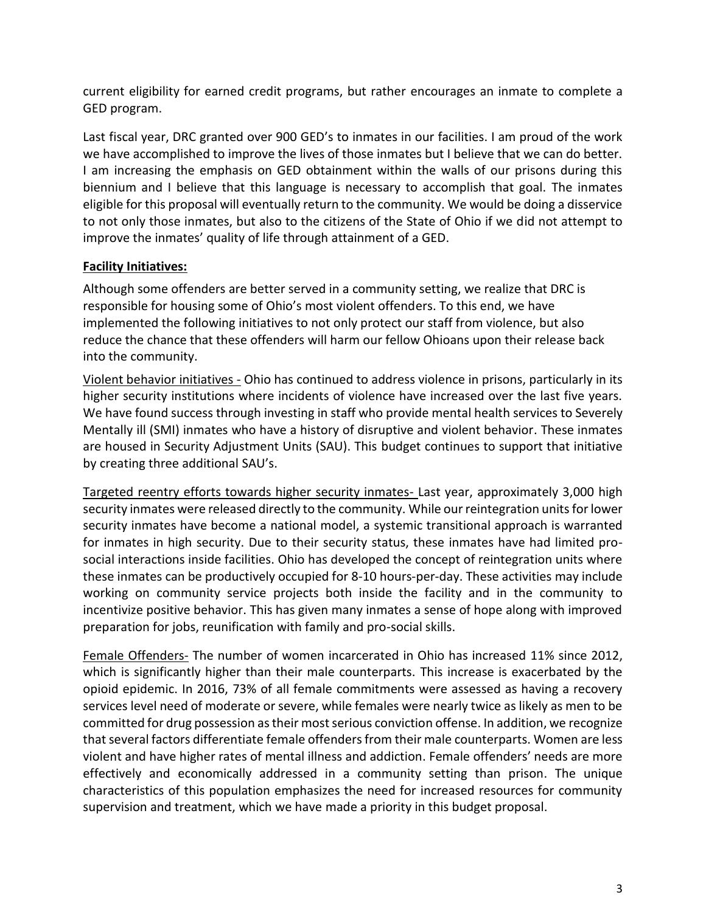current eligibility for earned credit programs, but rather encourages an inmate to complete a GED program.

Last fiscal year, DRC granted over 900 GED's to inmates in our facilities. I am proud of the work we have accomplished to improve the lives of those inmates but I believe that we can do better. I am increasing the emphasis on GED obtainment within the walls of our prisons during this biennium and I believe that this language is necessary to accomplish that goal. The inmates eligible for this proposal will eventually return to the community. We would be doing a disservice to not only those inmates, but also to the citizens of the State of Ohio if we did not attempt to improve the inmates' quality of life through attainment of a GED.

## **Facility Initiatives:**

Although some offenders are better served in a community setting, we realize that DRC is responsible for housing some of Ohio's most violent offenders. To this end, we have implemented the following initiatives to not only protect our staff from violence, but also reduce the chance that these offenders will harm our fellow Ohioans upon their release back into the community.

Violent behavior initiatives - Ohio has continued to address violence in prisons, particularly in its higher security institutions where incidents of violence have increased over the last five years. We have found success through investing in staff who provide mental health services to Severely Mentally ill (SMI) inmates who have a history of disruptive and violent behavior. These inmates are housed in Security Adjustment Units (SAU). This budget continues to support that initiative by creating three additional SAU's.

Targeted reentry efforts towards higher security inmates- Last year, approximately 3,000 high security inmates were released directly to the community. While our reintegration units for lower security inmates have become a national model, a systemic transitional approach is warranted for inmates in high security. Due to their security status, these inmates have had limited prosocial interactions inside facilities. Ohio has developed the concept of reintegration units where these inmates can be productively occupied for 8-10 hours-per-day. These activities may include working on community service projects both inside the facility and in the community to incentivize positive behavior. This has given many inmates a sense of hope along with improved preparation for jobs, reunification with family and pro-social skills.

Female Offenders- The number of women incarcerated in Ohio has increased 11% since 2012, which is significantly higher than their male counterparts. This increase is exacerbated by the opioid epidemic. In 2016, 73% of all female commitments were assessed as having a recovery services level need of moderate or severe, while females were nearly twice as likely as men to be committed for drug possession as their most serious conviction offense. In addition, we recognize that several factors differentiate female offenders from their male counterparts. Women are less violent and have higher rates of mental illness and addiction. Female offenders' needs are more effectively and economically addressed in a community setting than prison. The unique characteristics of this population emphasizes the need for increased resources for community supervision and treatment, which we have made a priority in this budget proposal.